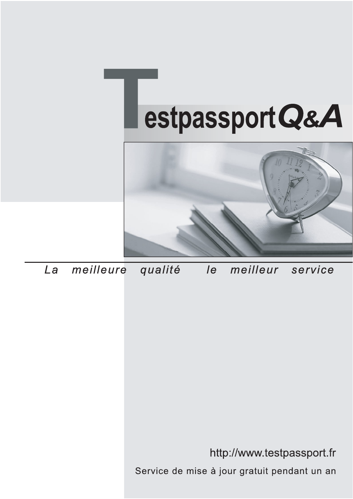



meilleure La qualité  $\overline{e}$ meilleur service

http://www.testpassport.fr

Service de mise à jour gratuit pendant un an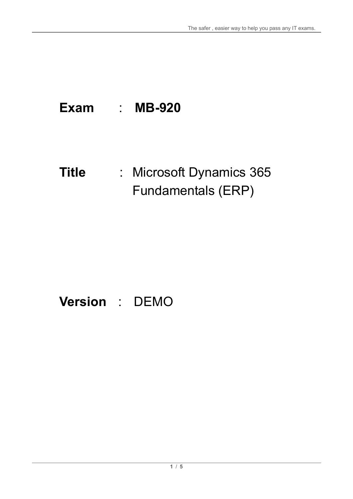# **Exam** : **MB-920**

## **Title** : Microsoft Dynamics 365 Fundamentals (ERP)

# **Version** : DEMO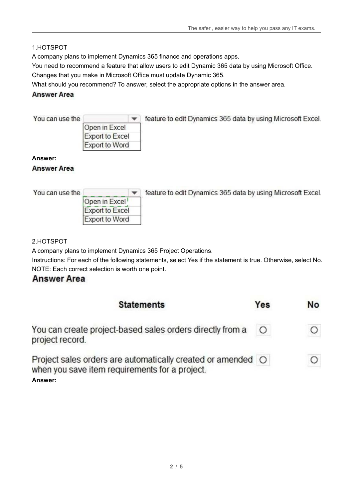#### 1.HOTSPOT

A company plans to implement Dynamics 365 finance and operations apps.

You need to recommend a feature that allow users to edit Dynamic 365 data by using Microsoft Office. Changes that you make in Microsoft Office must update Dynamic 365.

What should you recommend? To answer, select the appropriate options in the answer area.

#### **Answer Area**

You can use the

| Open in Excel          |  |
|------------------------|--|
| <b>Export to Excel</b> |  |
| Export to Word         |  |

Feature to edit Dynamics 365 data by using Microsoft Excel.

#### **Answer:**

#### **Answer Area**

You can use the

feature to edit Dynamics 365 data by using Microsoft Excel.

| Open in Excel          |  |
|------------------------|--|
| <b>Export to Excel</b> |  |
| Export to Word         |  |
|                        |  |

2.HOTSPOT

A company plans to implement Dynamics 365 Project Operations.

Instructions: For each of the following statements, select Yes if the statement is true. Otherwise, select No. NOTE: Each correct selection is worth one point.

### **Answer Area**

| <b>Statements</b>                                                                                             | Yes     | No |
|---------------------------------------------------------------------------------------------------------------|---------|----|
| You can create project-based sales orders directly from a<br>project record.                                  | $\circ$ |    |
| Project sales orders are automatically created or amended O<br>when you save item requirements for a project. |         |    |
| Answer:                                                                                                       |         |    |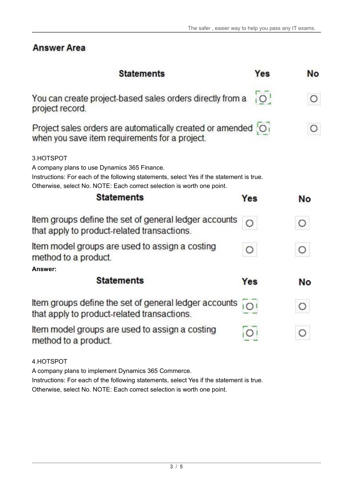## **Answer Area**

| <b>Statements</b>                                                                                                                                                                                                               | Yes            | No        |
|---------------------------------------------------------------------------------------------------------------------------------------------------------------------------------------------------------------------------------|----------------|-----------|
| You can create project-based sales orders directly from a<br>project record.                                                                                                                                                    | $\overline{O}$ | О         |
| Project sales orders are automatically created or amended O<br>when you save item requirements for a project.                                                                                                                   |                | Ω         |
| 3.HOTSPOT<br>A company plans to use Dynamics 365 Finance.<br>Instructions: For each of the following statements, select Yes if the statement is true.<br>Otherwise, select No. NOTE: Each correct selection is worth one point. |                |           |
| <b>Statements</b>                                                                                                                                                                                                               | Yes            | No        |
| Item groups define the set of general ledger accounts<br>that apply to product-related transactions.                                                                                                                            |                | O         |
| Item model groups are used to assign a costing<br>method to a product.                                                                                                                                                          | $\circ$        | $\circ$   |
| Answer:                                                                                                                                                                                                                         |                |           |
| <b>Statements</b>                                                                                                                                                                                                               | Yes            | <b>No</b> |
| Item groups define the set of general ledger accounts<br>that apply to product-related transactions.                                                                                                                            | IO             | O         |
| Item model groups are used to assign a costing<br>method to a product.                                                                                                                                                          |                | C         |
| 4.HOTSPOT                                                                                                                                                                                                                       |                |           |

A company plans to implement Dynamics 365 Commerce.

Instructions: For each of the following statements, select Yes if the statement is true. Otherwise, select No. NOTE: Each correct selection is worth one point.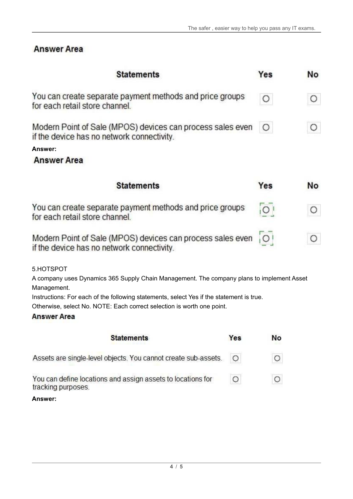$\circ$ 

 $\circ$ 

## **Answer Area**

| <b>Statements</b>                                                                                                                                                  | Yes     | No        |
|--------------------------------------------------------------------------------------------------------------------------------------------------------------------|---------|-----------|
| You can create separate payment methods and price groups<br>for each retail store channel.                                                                         | Ο       | О         |
| Modern Point of Sale (MPOS) devices can process sales even<br>if the device has no network connectivity.                                                           | $\circ$ | Ο         |
| Answer:<br><b>Answer Area</b>                                                                                                                                      |         |           |
|                                                                                                                                                                    |         |           |
| <b>Statements</b>                                                                                                                                                  | Yes     | <b>No</b> |
| You can create separate payment methods and price groups<br>for each retail store channel.                                                                         | Ο       | Ο         |
| Modern Point of Sale (MPOS) devices can process sales even<br>if the device has no network connectivity.                                                           | $\circ$ |           |
| 5.HOTSPOT<br>A company uses Dynamics 365 Supply Chain Management. The company plans to implement Asset                                                             |         |           |
| Management.                                                                                                                                                        |         |           |
| Instructions: For each of the following statements, select Yes if the statement is true.<br>Otherwise, select No. NOTE: Each correct selection is worth one point. |         |           |
| <b>Answer Area</b>                                                                                                                                                 |         |           |
| <b>Statements</b><br>Yes                                                                                                                                           | No      |           |

Assets are single-level objects. You cannot create sub-assets.  $\circ$ 

You can define locations and assign assets to locations for  $\circ$ tracking purposes.

**Answer:**